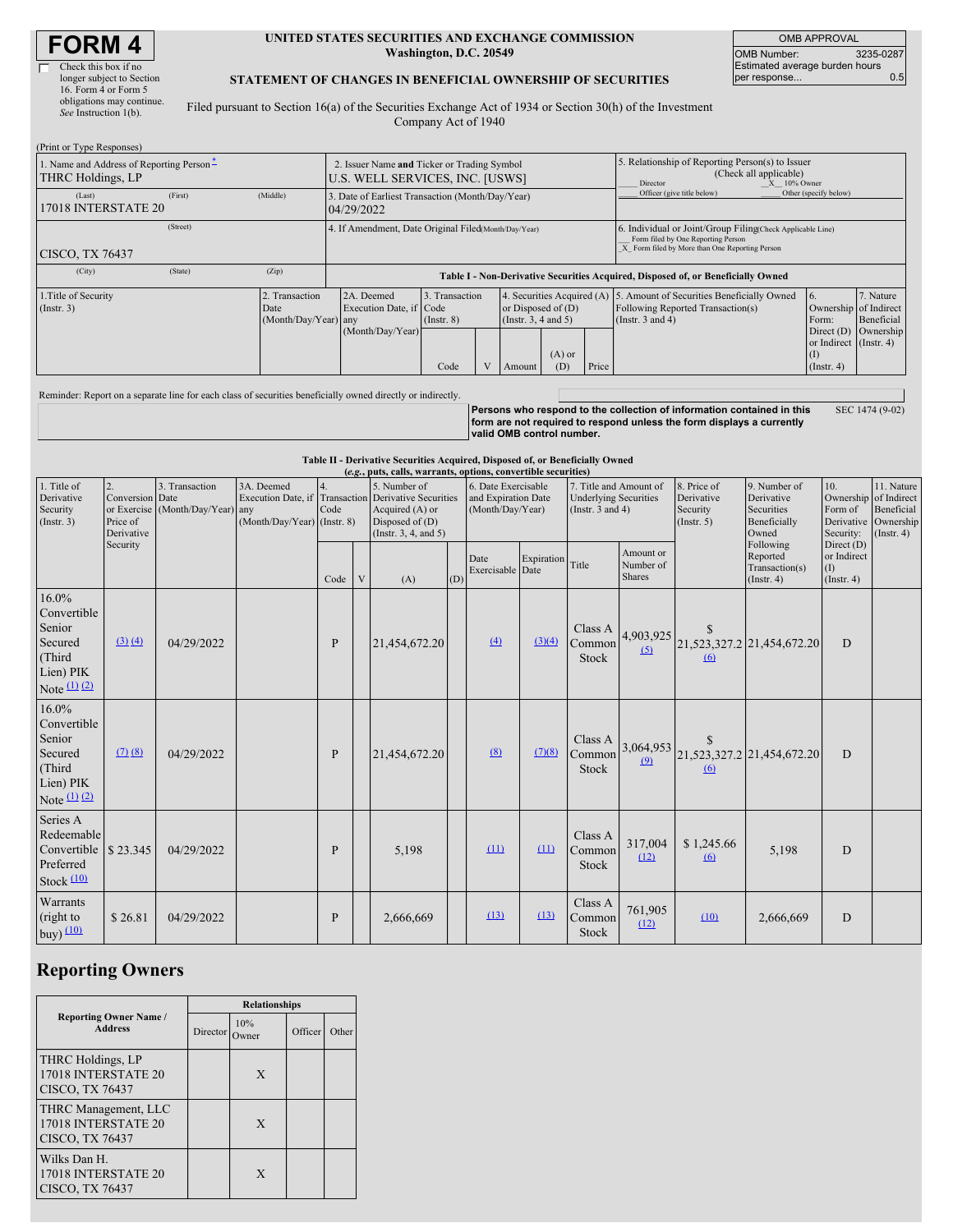# **FORM 4**

(Print or Type Responses)

| Check this box if no      |
|---------------------------|
| longer subject to Section |
| 16. Form 4 or Form 5      |
| obligations may continue. |
| See Instruction 1(b).     |

#### **UNITED STATES SECURITIES AND EXCHANGE COMMISSION Washington, D.C. 20549**

OMB APPROVAL OMB Number: 3235-0287 Estimated average burden hours per response... 0.5

### **STATEMENT OF CHANGES IN BENEFICIAL OWNERSHIP OF SECURITIES**

Filed pursuant to Section 16(a) of the Securities Exchange Act of 1934 or Section 30(h) of the Investment Company Act of 1940

| 1. Name and Address of Reporting Person-<br>THRC Holdings, LP |         |                                                | 2. Issuer Name and Ticker or Trading Symbol<br>U.S. WELL SERVICES, INC. [USWS]                                                                                                                   |  |                                                                                                                                     |                                                                                                                            |                                      | 5. Relationship of Reporting Person(s) to Issuer<br>(Check all applicable)<br>$X = 10\%$ Owner<br>Director                                         |                                                                                  |  |  |
|---------------------------------------------------------------|---------|------------------------------------------------|--------------------------------------------------------------------------------------------------------------------------------------------------------------------------------------------------|--|-------------------------------------------------------------------------------------------------------------------------------------|----------------------------------------------------------------------------------------------------------------------------|--------------------------------------|----------------------------------------------------------------------------------------------------------------------------------------------------|----------------------------------------------------------------------------------|--|--|
| (Last)<br>17018 INTERSTATE 20                                 | (First) | (Middle)                                       | 3. Date of Earliest Transaction (Month/Day/Year)<br>04/29/2022                                                                                                                                   |  |                                                                                                                                     |                                                                                                                            | Officer (give title below)           | Other (specify below)                                                                                                                              |                                                                                  |  |  |
| (Street)<br><b>CISCO, TX 76437</b>                            |         |                                                | 4. If Amendment, Date Original Filed(Month/Day/Year)                                                                                                                                             |  |                                                                                                                                     |                                                                                                                            |                                      | 6. Individual or Joint/Group Filing(Check Applicable Line)<br>Form filed by One Reporting Person<br>X Form filed by More than One Reporting Person |                                                                                  |  |  |
| (City)                                                        | (State) | (Zip)                                          |                                                                                                                                                                                                  |  |                                                                                                                                     |                                                                                                                            |                                      |                                                                                                                                                    | Table I - Non-Derivative Securities Acquired, Disposed of, or Beneficially Owned |  |  |
| 1. Title of Security<br>(Insert. 3)                           |         | 2. Transaction<br>Date<br>(Month/Day/Year) any | 2A. Deemed<br>3. Transaction<br>Execution Date, if Code<br>or Disposed of $(D)$<br>(Instr. $3, 4$ and $5$ )<br>$($ Instr. $8)$<br>(Month/Day/Year)<br>$(A)$ or<br>Code<br>Price<br>(D)<br>Amount |  | 4. Securities Acquired (A) 5. Amount of Securities Beneficially Owned<br>Following Reported Transaction(s)<br>(Instr. $3$ and $4$ ) | Ownership of Indirect<br>Form:<br>Direct $(D)$<br>or Indirect (Instr. 4)<br>$\left( \mathrm{I}\right)$<br>$($ Instr. 4 $)$ | 7. Nature<br>Beneficial<br>Ownership |                                                                                                                                                    |                                                                                  |  |  |

Reminder: Report on a separate line for each class of securities beneficially owned directly or indirectly.

|  |                           | <u>I</u> Persons who respond to the collection of information contained in this | SEC 1474 (9-02) |
|--|---------------------------|---------------------------------------------------------------------------------|-----------------|
|  |                           | form are not required to respond unless the form displays a currently           |                 |
|  | valid OMB control number. |                                                                                 |                 |

**Table II - Derivative Securities Acquired, Disposed of, or Beneficially Owned**

| (e.g., puts, calls, warrants, options, convertible securities)                                                        |             |                                                    |                                           |              |   |                                                                                                                                              |     |                                                                |                  |                                                                                 |                                         |                                                      |                                                                   |                                                                              |                                              |
|-----------------------------------------------------------------------------------------------------------------------|-------------|----------------------------------------------------|-------------------------------------------|--------------|---|----------------------------------------------------------------------------------------------------------------------------------------------|-----|----------------------------------------------------------------|------------------|---------------------------------------------------------------------------------|-----------------------------------------|------------------------------------------------------|-------------------------------------------------------------------|------------------------------------------------------------------------------|----------------------------------------------|
| $\overline{2}$ .<br>1. Title of<br>Derivative<br>Conversion Date<br>Security<br>Price of<br>(Insert. 3)<br>Derivative |             | 3. Transaction<br>or Exercise (Month/Day/Year) any | 3A. Deemed<br>(Month/Day/Year) (Instr. 8) | 4.<br>Code   |   | 5. Number of<br>Execution Date, if Transaction Derivative Securities<br>Acquired $(A)$ or<br>Disposed of $(D)$<br>(Instr. $3, 4$ , and $5$ ) |     | 6. Date Exercisable<br>and Expiration Date<br>(Month/Day/Year) |                  | 7. Title and Amount of<br><b>Underlying Securities</b><br>(Instr. $3$ and $4$ ) |                                         | 8. Price of<br>Derivative<br>Security<br>(Insert. 5) | 9. Number of<br>Derivative<br>Securities<br>Beneficially<br>Owned | 10.<br>Ownership of Indirect<br>Form of<br>Derivative Ownership<br>Security: | 11. Nature<br>Beneficial<br>$($ Instr. 4 $)$ |
|                                                                                                                       | Security    |                                                    |                                           | Code         | V | (A)                                                                                                                                          | (D) | Date<br>Exercisable Date                                       | Expiration Title |                                                                                 | Amount or<br>Number of<br><b>Shares</b> |                                                      | Following<br>Reported<br>Transaction(s)<br>$($ Instr. 4 $)$       | Direct (D)<br>or Indirect<br>(1)<br>(Insert, 4)                              |                                              |
| $16.0\%$<br>Convertible<br>Senior<br>Secured<br>(Third<br>Lien) PIK<br>Note $(1)$ $(2)$                               | (3)(4)      | 04/29/2022                                         |                                           | P            |   | 21,454,672.20                                                                                                                                |     | (4)                                                            | (3)(4)           | Class A<br>Common<br>Stock                                                      | 4,903,925<br>(5)                        | <sup>\$</sup><br>(6)                                 | 21,523,327.2 21,454,672.20                                        | D                                                                            |                                              |
| $16.0\%$<br>Convertible<br>Senior<br>Secured<br>(Third<br>Lien) PIK<br>Note $(1)$ $(2)$                               | $(7)$ $(8)$ | 04/29/2022                                         |                                           | $\mathbf{P}$ |   | 21,454,672.20                                                                                                                                |     | (8)                                                            | (7)(8)           | Class A<br>Common<br>Stock                                                      | 3,064,953<br>(9)                        | <sup>\$</sup><br>(6)                                 | 21,523,327.2 21,454,672.20                                        | D                                                                            |                                              |
| Series A<br>Redeemable<br>Convertible \\$23.345<br>Preferred<br>Stock (10)                                            |             | 04/29/2022                                         |                                           | P            |   | 5,198                                                                                                                                        |     | (11)                                                           | (11)             | Class A<br>Common<br>Stock                                                      | 317,004<br>(12)                         | \$1,245.66<br>(6)                                    | 5,198                                                             | D                                                                            |                                              |
| Warrants<br>(right to<br>buy) $(10)$                                                                                  | \$26.81     | 04/29/2022                                         |                                           | P            |   | 2,666,669                                                                                                                                    |     | (13)                                                           | (13)             | Class A<br>Common<br><b>Stock</b>                                               | 761,905<br>(12)                         | (10)                                                 | 2,666,669                                                         | D                                                                            |                                              |

## **Reporting Owners**

|                                                                | <b>Relationships</b> |              |         |       |  |  |  |
|----------------------------------------------------------------|----------------------|--------------|---------|-------|--|--|--|
| <b>Reporting Owner Name /</b><br><b>Address</b>                | Director             | 10%<br>Owner | Officer | Other |  |  |  |
| THRC Holdings, LP<br>17018 INTERSTATE 20<br>CISCO, TX 76437    |                      | X            |         |       |  |  |  |
| THRC Management, LLC<br>17018 INTERSTATE 20<br>CISCO, TX 76437 |                      | X            |         |       |  |  |  |
| Wilks Dan H.<br>17018 INTERSTATE 20<br>CISCO, TX 76437         |                      | X            |         |       |  |  |  |